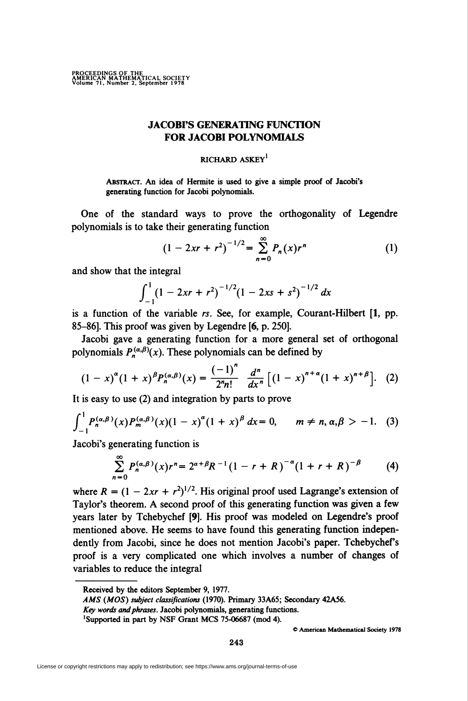## JACOBI'S GENERATING FUNCTION FOR JACOBI POLYNOMIALS

## RICHARD ASKEY<sup>1</sup>

Abstract. An idea of Hermite is used to give a simple proof of Jacobi's generating function for Jacobi polynomials.

One of the standard ways to prove the orthogonality of Legendre polynomials is to take their generating function

$$
(1 - 2xr + r^2)^{-1/2} = \sum_{n=0}^{\infty} P_n(x)r^n
$$
 (1)

and show that the integral

$$
\int_{-1}^{1} (1 - 2xr + r^2)^{-1/2} (1 - 2xs + s^2)^{-1/2} dx
$$

is a function of the variable rs. See, for example, Courant-Hilbert [1, pp. 85-86]. This proof was given by Legendre [6, p. 250].

Jacobi gave a generating function for a more general set of orthogonal polynomials  $P_n^{(\alpha,\beta)}(x)$ . These polynomials can be defined by

$$
(1-x)^{\alpha}(1+x)^{\beta}P_n^{(\alpha,\beta)}(x)=\frac{(-1)^n}{2^nn!}\frac{d^n}{dx^n}\Big[(1-x)^{n+\alpha}(1+x)^{n+\beta}\Big].\quad (2)
$$

It is easy to use (2) and integration by parts to prove

$$
\int_{-1}^{1} P_n^{(\alpha,\beta)}(x) P_m^{(\alpha,\beta)}(x) (1-x)^{\alpha} (1+x)^{\beta} dx = 0, \qquad m \neq n, \alpha, \beta > -1.
$$
 (3)

Jacobi's generating function is

$$
\sum_{n=0}^{\infty} P_n^{(\alpha,\beta)}(x) r^n = 2^{\alpha+\beta} R^{-1} (1-r+R)^{-\alpha} (1+r+R)^{-\beta} \tag{4}
$$

where  $R = (1 - 2xr + r^2)^{1/2}$ . His original proof used Lagrange's extension of Taylor's theorem. A second proof of this generating function was given a few years later by Tchebychef [9]. His proof was modeled on Legendre's proof mentioned above. He seems to have found this generating function independently from Jacobi, since he does not mention Jacobi's paper. Tchebychef's proof is a very complicated one which involves a number of changes of variables to reduce the integral

© American Mathematical Society 1978

Received by the editors September 9, 1977.

AMS (MOS) subject classifications (1970). Primary 33A65; Secondary 42A56.

Key words and phrases. Jacobi polynomials, generating functions.

<sup>&#</sup>x27;Supported in part by NSF Grant MCS 75-06687 (mod 4).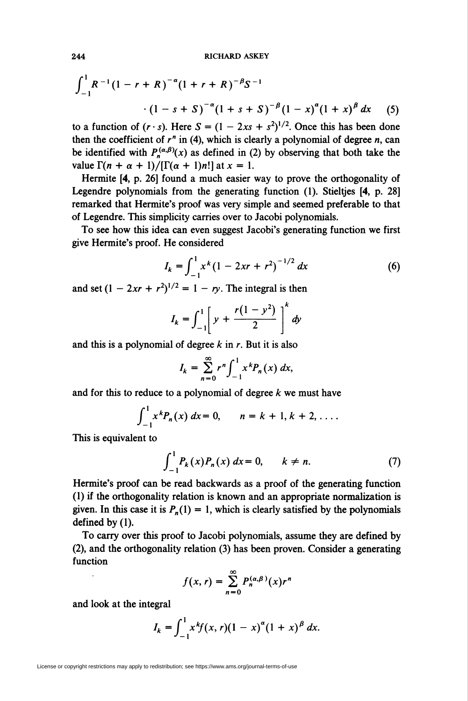$$
\int_{-1}^{1} R^{-1} (1 - r + R)^{-\alpha} (1 + r + R)^{-\beta} S^{-1}
$$
  
 
$$
\cdot (1 - s + S)^{-\alpha} (1 + s + S)^{-\beta} (1 - x)^{\alpha} (1 + x)^{\beta} dx
$$
 (5)

to a function of  $(r \cdot s)$ . Here  $S = (1 - 2xs + s^2)^{1/2}$ . Once this has been done then the coefficient of  $r^n$  in (4), which is clearly a polynomial of degree  $n$ , can be identified with  $P_n^{(\alpha,\beta)}(x)$  as defined in (2) by observing that both take the value  $\Gamma(n + \alpha + 1)/[\Gamma(\alpha + 1)n!]$  at  $x = 1$ .

Hermite [4, p. 26] found a much easier way to prove the orthogonality of Legendre polynomials from the generating function (1). Stieltjes [4, p. 28] remarked that Hermite's proof was very simple and seemed preferable to that of Legendre. This simplicity carries over to Jacobi polynomials.

To see how this idea can even suggest Jacobi's generating function we first give Hermite's proof. He considered

$$
I_k = \int_{-1}^1 x^k (1 - 2xr + r^2)^{-1/2} dx \tag{6}
$$

and set  $(1 - 2xr + r^2)^{1/2} = 1 - ry$ . The integral is then

$$
I_k = \int_{-1}^{1} \left[ y + \frac{r(1 - y^2)}{2} \right]^k dy
$$

and this is a polynomial of degree  $k$  in  $r$ . But it is also

$$
I_k = \sum_{n=0}^{\infty} r^n \int_{-1}^1 x^k P_n(x) \, dx,
$$

and for this to reduce to a polynomial of degree  $k$  we must have

$$
\int_{-1}^{1} x^k P_n(x) \ dx = 0, \qquad n = k + 1, k + 2, \ldots.
$$

This is equivalent to

$$
\int_{-1}^{1} P_k(x) P_n(x) \, dx = 0, \qquad k \neq n. \tag{7}
$$

Hermite's proof can be read backwards as a proof of the generating function (1) if the orthogonality relation is known and an appropriate normalization is given. In this case it is  $P_n(1) = 1$ , which is clearly satisfied by the polynomials defined by (1).

To carry over this proof to Jacobi polynomials, assume they are defined by (2), and the orthogonality relation (3) has been proven. Consider a generating function

$$
f(x,r)=\sum_{n=0}^{\infty}P_n^{(\alpha,\beta)}(x)r^n
$$

and look at the integral

$$
I_k = \int_{-1}^1 x^k f(x, r) (1 - x)^{\alpha} (1 + x)^{\beta} dx.
$$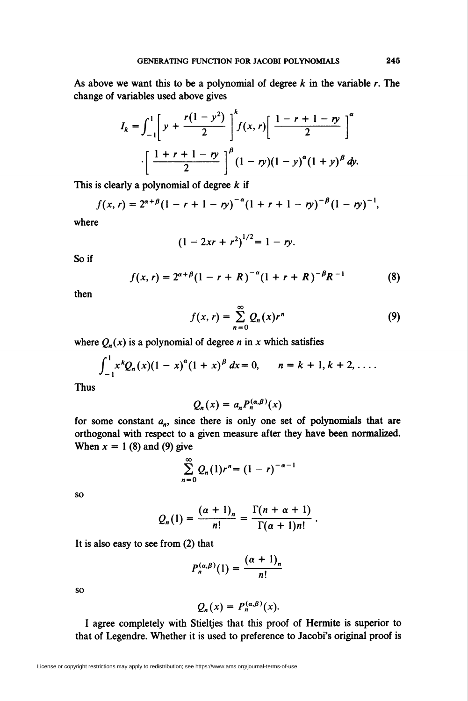As above we want this to be a polynomial of degree  $k$  in the variable  $r$ . The change of variables used above gives

$$
I_{k} = \int_{-1}^{1} \left[ y + \frac{r(1 - y^{2})}{2} \right]^{k} f(x, r) \left[ \frac{1 - r + 1 - ry}{2} \right]^{\alpha} \cdot \left[ \frac{1 + r + 1 - ry}{2} \right]^{\beta} (1 - ry)(1 - y)^{\alpha} (1 + y)^{\beta} dy.
$$

This is clearly a polynomial of degree  $k$  if

$$
f(x,r) = 2^{\alpha+\beta}(1-r+1-\eta)^{-\alpha}(1+r+1-\eta)^{-\beta}(1-\eta)^{-1},
$$

where

$$
(1-2xr+r^2)^{1/2}=1-ry.
$$

Soif

$$
f(x,r) = 2^{\alpha+\beta}(1-r+R)^{-\alpha}(1+r+R)^{-\beta}R^{-1}
$$
 (8)

then

$$
f(x,r) = \sum_{n=0}^{\infty} Q_n(x)r^n
$$
 (9)

where  $Q_n(x)$  is a polynomial of degree n in x which satisfies

$$
\int_{-1}^{1} x^{k} Q_{n}(x) (1-x)^{\alpha} (1+x)^{\beta} dx = 0, \qquad n = k + 1, k + 2, \ldots.
$$

Thus

$$
Q_n(x) = a_n P_n^{(\alpha,\beta)}(x)
$$

for some constant  $a_n$ , since there is only one set of polynomials that are orthogonal with respect to a given measure after they have been normalized. When  $x = 1$  (8) and (9) give

$$
\sum_{n=0}^{\infty} Q_n(1)r^n = (1-r)^{-\alpha-1}
$$

so

$$
Q_n(1) = \frac{(\alpha+1)_n}{n!} = \frac{\Gamma(n+\alpha+1)}{\Gamma(\alpha+1)n!}
$$

It is also easy to see from (2) that

$$
P_n^{(\alpha,\beta)}(1)=\frac{(\alpha+1)_n}{n!}
$$

so

$$
Q_n(x) = P_n^{(\alpha,\beta)}(x).
$$

I agree completely with Stieltjes that this proof of Hermite is superior to that of Legendre. Whether it is used to preference to Jacobi's original proof is